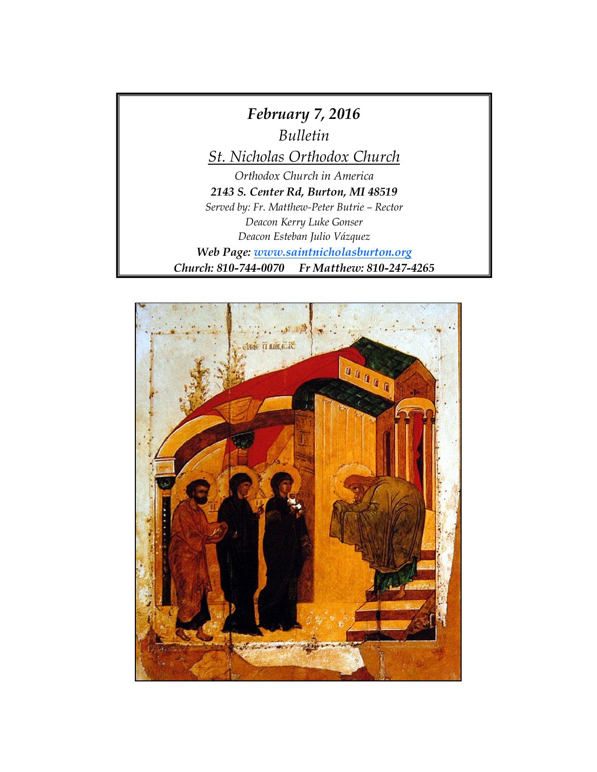

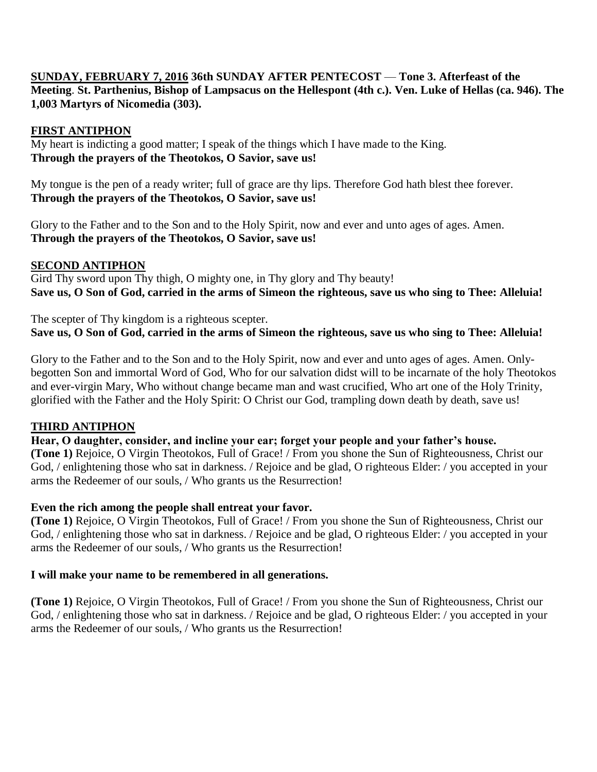#### **SUNDAY, FEBRUARY 7, 2016 36th SUNDAY AFTER PENTECOST** — **Tone 3. Afterfeast of the Meeting**. **St. Parthenius, Bishop of Lampsacus on the Hellespont (4th c.). Ven. Luke of Hellas (ca. 946). The 1,003 Martyrs of Nicomedia (303).**

# **FIRST ANTIPHON**

My heart is indicting a good matter; I speak of the things which I have made to the King. **Through the prayers of the Theotokos, O Savior, save us!**

My tongue is the pen of a ready writer; full of grace are thy lips. Therefore God hath blest thee forever. **Through the prayers of the Theotokos, O Savior, save us!**

Glory to the Father and to the Son and to the Holy Spirit, now and ever and unto ages of ages. Amen. **Through the prayers of the Theotokos, O Savior, save us!**

## **SECOND ANTIPHON**

Gird Thy sword upon Thy thigh, O mighty one, in Thy glory and Thy beauty! **Save us, O Son of God, carried in the arms of Simeon the righteous, save us who sing to Thee: Alleluia!**

The scepter of Thy kingdom is a righteous scepter. **Save us, O Son of God, carried in the arms of Simeon the righteous, save us who sing to Thee: Alleluia!**

Glory to the Father and to the Son and to the Holy Spirit, now and ever and unto ages of ages. Amen. Onlybegotten Son and immortal Word of God, Who for our salvation didst will to be incarnate of the holy Theotokos and ever-virgin Mary, Who without change became man and wast crucified, Who art one of the Holy Trinity, glorified with the Father and the Holy Spirit: O Christ our God, trampling down death by death, save us!

# **THIRD ANTIPHON**

#### **Hear, O daughter, consider, and incline your ear; forget your people and your father's house.**

**(Tone 1)** Rejoice, O Virgin Theotokos, Full of Grace! / From you shone the Sun of Righteousness, Christ our God, / enlightening those who sat in darkness. / Rejoice and be glad, O righteous Elder: / you accepted in your arms the Redeemer of our souls, / Who grants us the Resurrection!

#### **Even the rich among the people shall entreat your favor.**

**(Tone 1)** Rejoice, O Virgin Theotokos, Full of Grace! / From you shone the Sun of Righteousness, Christ our God, / enlightening those who sat in darkness. / Rejoice and be glad, O righteous Elder: / you accepted in your arms the Redeemer of our souls, / Who grants us the Resurrection!

#### **I will make your name to be remembered in all generations.**

**(Tone 1)** Rejoice, O Virgin Theotokos, Full of Grace! / From you shone the Sun of Righteousness, Christ our God, / enlightening those who sat in darkness. / Rejoice and be glad, O righteous Elder: / you accepted in your arms the Redeemer of our souls, / Who grants us the Resurrection!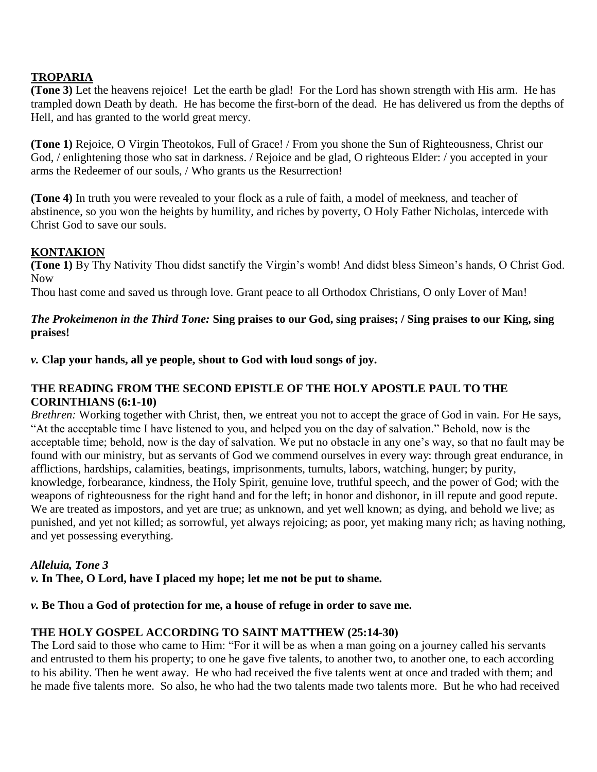## **TROPARIA**

**(Tone 3)** Let the heavens rejoice! Let the earth be glad! For the Lord has shown strength with His arm. He has trampled down Death by death. He has become the first-born of the dead. He has delivered us from the depths of Hell, and has granted to the world great mercy.

**(Tone 1)** Rejoice, O Virgin Theotokos, Full of Grace! / From you shone the Sun of Righteousness, Christ our God, / enlightening those who sat in darkness. / Rejoice and be glad, O righteous Elder: / you accepted in your arms the Redeemer of our souls, / Who grants us the Resurrection!

**(Tone 4)** In truth you were revealed to your flock as a rule of faith, a model of meekness, and teacher of abstinence, so you won the heights by humility, and riches by poverty, O Holy Father Nicholas, intercede with Christ God to save our souls.

## **KONTAKION**

**(Tone 1)** By Thy Nativity Thou didst sanctify the Virgin's womb! And didst bless Simeon's hands, O Christ God. Now

Thou hast come and saved us through love. Grant peace to all Orthodox Christians, O only Lover of Man!

#### *The Prokeimenon in the Third Tone:* **Sing praises to our God, sing praises; / Sing praises to our King, sing praises!**

#### *v.* **Clap your hands, all ye people, shout to God with loud songs of joy.**

#### **THE READING FROM THE SECOND EPISTLE OF THE HOLY APOSTLE PAUL TO THE CORINTHIANS (6:1-10)**

*Brethren:* Working together with Christ, then, we entreat you not to accept the grace of God in vain. For He says, "At the acceptable time I have listened to you, and helped you on the day of salvation." Behold, now is the acceptable time; behold, now is the day of salvation. We put no obstacle in any one's way, so that no fault may be found with our ministry, but as servants of God we commend ourselves in every way: through great endurance, in afflictions, hardships, calamities, beatings, imprisonments, tumults, labors, watching, hunger; by purity, knowledge, forbearance, kindness, the Holy Spirit, genuine love, truthful speech, and the power of God; with the weapons of righteousness for the right hand and for the left; in honor and dishonor, in ill repute and good repute. We are treated as impostors, and yet are true; as unknown, and yet well known; as dying, and behold we live; as punished, and yet not killed; as sorrowful, yet always rejoicing; as poor, yet making many rich; as having nothing, and yet possessing everything.

#### *Alleluia, Tone 3*

*v.* **In Thee, O Lord, have I placed my hope; let me not be put to shame.**

#### *v.* **Be Thou a God of protection for me, a house of refuge in order to save me.**

#### **THE HOLY GOSPEL ACCORDING TO SAINT MATTHEW (25:14-30)**

The Lord said to those who came to Him: "For it will be as when a man going on a journey called his servants and entrusted to them his property; to one he gave five talents, to another two, to another one, to each according to his ability. Then he went away. He who had received the five talents went at once and traded with them; and he made five talents more. So also, he who had the two talents made two talents more. But he who had received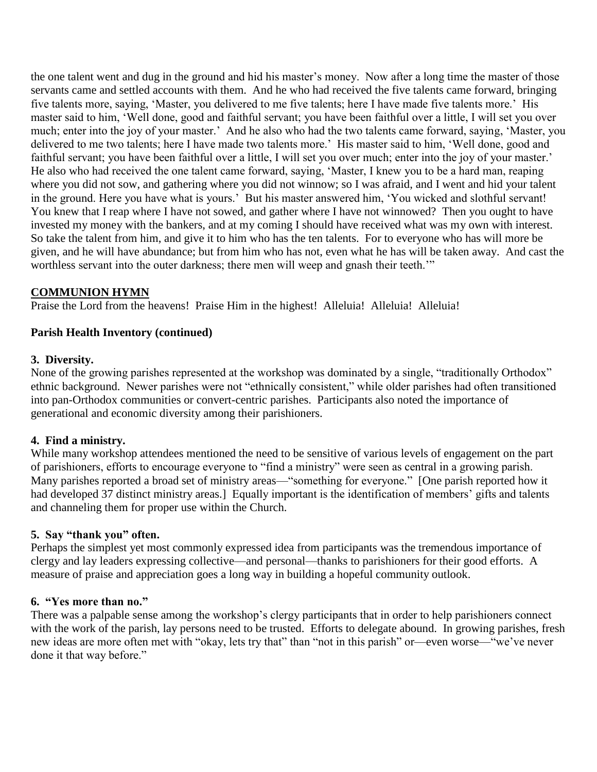the one talent went and dug in the ground and hid his master's money. Now after a long time the master of those servants came and settled accounts with them. And he who had received the five talents came forward, bringing five talents more, saying, 'Master, you delivered to me five talents; here I have made five talents more.' His master said to him, 'Well done, good and faithful servant; you have been faithful over a little, I will set you over much; enter into the joy of your master.' And he also who had the two talents came forward, saying, 'Master, you delivered to me two talents; here I have made two talents more.' His master said to him, 'Well done, good and faithful servant; you have been faithful over a little, I will set you over much; enter into the joy of your master.' He also who had received the one talent came forward, saying, 'Master, I knew you to be a hard man, reaping where you did not sow, and gathering where you did not winnow; so I was afraid, and I went and hid your talent in the ground. Here you have what is yours.' But his master answered him, 'You wicked and slothful servant! You knew that I reap where I have not sowed, and gather where I have not winnowed? Then you ought to have invested my money with the bankers, and at my coming I should have received what was my own with interest. So take the talent from him, and give it to him who has the ten talents. For to everyone who has will more be given, and he will have abundance; but from him who has not, even what he has will be taken away. And cast the worthless servant into the outer darkness; there men will weep and gnash their teeth."

#### **COMMUNION HYMN**

Praise the Lord from the heavens! Praise Him in the highest! Alleluia! Alleluia! Alleluia!

#### **Parish Health Inventory (continued)**

#### **3. Diversity.**

None of the growing parishes represented at the workshop was dominated by a single, "traditionally Orthodox" ethnic background. Newer parishes were not "ethnically consistent," while older parishes had often transitioned into pan-Orthodox communities or convert-centric parishes. Participants also noted the importance of generational and economic diversity among their parishioners.

#### **4. Find a ministry.**

While many workshop attendees mentioned the need to be sensitive of various levels of engagement on the part of parishioners, efforts to encourage everyone to "find a ministry" were seen as central in a growing parish. Many parishes reported a broad set of ministry areas—"something for everyone." [One parish reported how it had developed 37 distinct ministry areas.] Equally important is the identification of members' gifts and talents and channeling them for proper use within the Church.

#### **5. Say "thank you" often.**

Perhaps the simplest yet most commonly expressed idea from participants was the tremendous importance of clergy and lay leaders expressing collective—and personal—thanks to parishioners for their good efforts. A measure of praise and appreciation goes a long way in building a hopeful community outlook.

#### **6. "Yes more than no."**

There was a palpable sense among the workshop's clergy participants that in order to help parishioners connect with the work of the parish, lay persons need to be trusted. Efforts to delegate abound. In growing parishes, fresh new ideas are more often met with "okay, lets try that" than "not in this parish" or—even worse—"we've never done it that way before."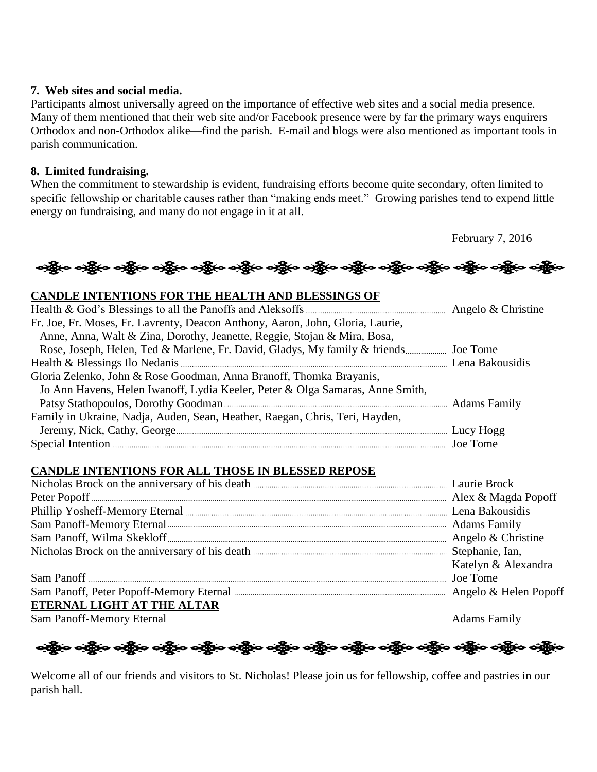#### **7. Web sites and social media.**

Participants almost universally agreed on the importance of effective web sites and a social media presence. Many of them mentioned that their web site and/or Facebook presence were by far the primary ways enquirers— Orthodox and non-Orthodox alike—find the parish. E-mail and blogs were also mentioned as important tools in parish communication.

#### **8. Limited fundraising.**

When the commitment to stewardship is evident, fundraising efforts become quite secondary, often limited to specific fellowship or charitable causes rather than "making ends meet." Growing parishes tend to expend little energy on fundraising, and many do not engage in it at all.

February 7, 2016



#### **CANDLE INTENTIONS FOR THE HEALTH AND BLESSINGS OF**

| Fr. Joe, Fr. Moses, Fr. Lavrenty, Deacon Anthony, Aaron, John, Gloria, Laurie, |  |
|--------------------------------------------------------------------------------|--|
| Anne, Anna, Walt & Zina, Dorothy, Jeanette, Reggie, Stojan & Mira, Bosa,       |  |
|                                                                                |  |
|                                                                                |  |
| Gloria Zelenko, John & Rose Goodman, Anna Branoff, Thomka Brayanis,            |  |
| Jo Ann Havens, Helen Iwanoff, Lydia Keeler, Peter & Olga Samaras, Anne Smith,  |  |
|                                                                                |  |
| Family in Ukraine, Nadja, Auden, Sean, Heather, Raegan, Chris, Teri, Hayden,   |  |
|                                                                                |  |
|                                                                                |  |

### **CANDLE INTENTIONS FOR ALL THOSE IN BLESSED REPOSE**

| Nicholas Brock on the anniversary of his death <b><i>manufacture in the manufacture of the stephanic</i></b> , Ian, |                     |
|---------------------------------------------------------------------------------------------------------------------|---------------------|
|                                                                                                                     | Katelyn & Alexandra |
|                                                                                                                     |                     |
|                                                                                                                     |                     |
| ETERNAL LIGHT AT THE ALTAR                                                                                          |                     |
| Sam Panoff-Memory Eternal                                                                                           | <b>Adams Family</b> |

ခရွို့လ ခရွို့လ ခရွို့လ ခရွို့လ ခရွို့လ ခရွို့လ ခရွို့လ ခရွို့လ ခရွို့လ ခရွို့လ ခရွို့လ ခရွို့လ ခရွို့လ ခရွို့လ

Welcome all of our friends and visitors to St. Nicholas! Please join us for fellowship, coffee and pastries in our parish hall.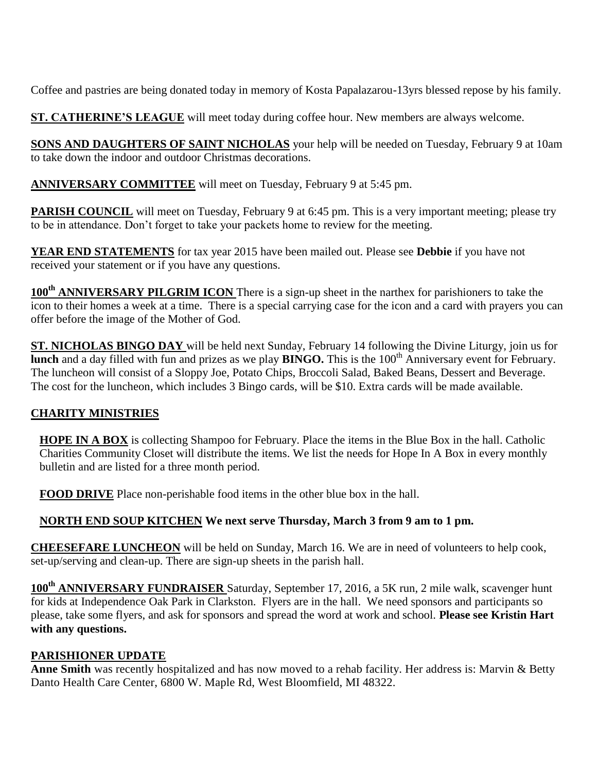Coffee and pastries are being donated today in memory of Kosta Papalazarou-13yrs blessed repose by his family.

**ST. CATHERINE'S LEAGUE** will meet today during coffee hour. New members are always welcome.

**SONS AND DAUGHTERS OF SAINT NICHOLAS** your help will be needed on Tuesday, February 9 at 10am to take down the indoor and outdoor Christmas decorations.

**ANNIVERSARY COMMITTEE** will meet on Tuesday, February 9 at 5:45 pm.

**PARISH COUNCIL** will meet on Tuesday, February 9 at 6:45 pm. This is a very important meeting; please try to be in attendance. Don't forget to take your packets home to review for the meeting.

**YEAR END STATEMENTS** for tax year 2015 have been mailed out. Please see **Debbie** if you have not received your statement or if you have any questions.

**100th ANNIVERSARY PILGRIM ICON** There is a sign-up sheet in the narthex for parishioners to take the icon to their homes a week at a time. There is a special carrying case for the icon and a card with prayers you can offer before the image of the Mother of God.

**ST. NICHOLAS BINGO DAY** will be held next Sunday, February 14 following the Divine Liturgy, join us for **lunch** and a day filled with fun and prizes as we play **BINGO**. This is the 100<sup>th</sup> Anniversary event for February. The luncheon will consist of a Sloppy Joe, Potato Chips, Broccoli Salad, Baked Beans, Dessert and Beverage. The cost for the luncheon, which includes 3 Bingo cards, will be \$10. Extra cards will be made available.

# **CHARITY MINISTRIES**

**HOPE IN A BOX** is collecting Shampoo for February. Place the items in the Blue Box in the hall. Catholic Charities Community Closet will distribute the items. We list the needs for Hope In A Box in every monthly bulletin and are listed for a three month period.

**FOOD DRIVE** Place non-perishable food items in the other blue box in the hall.

# **NORTH END SOUP KITCHEN We next serve Thursday, March 3 from 9 am to 1 pm.**

**CHEESEFARE LUNCHEON** will be held on Sunday, March 16. We are in need of volunteers to help cook, set-up/serving and clean-up. There are sign-up sheets in the parish hall.

**100th ANNIVERSARY FUNDRAISER** Saturday, September 17, 2016, a 5K run, 2 mile walk, scavenger hunt for kids at Independence Oak Park in Clarkston. Flyers are in the hall. We need sponsors and participants so please, take some flyers, and ask for sponsors and spread the word at work and school. **Please see Kristin Hart with any questions.**

#### **PARISHIONER UPDATE**

**Anne Smith** was recently hospitalized and has now moved to a rehab facility. Her address is: Marvin & Betty Danto Health Care Center, 6800 W. Maple Rd, West Bloomfield, MI 48322.